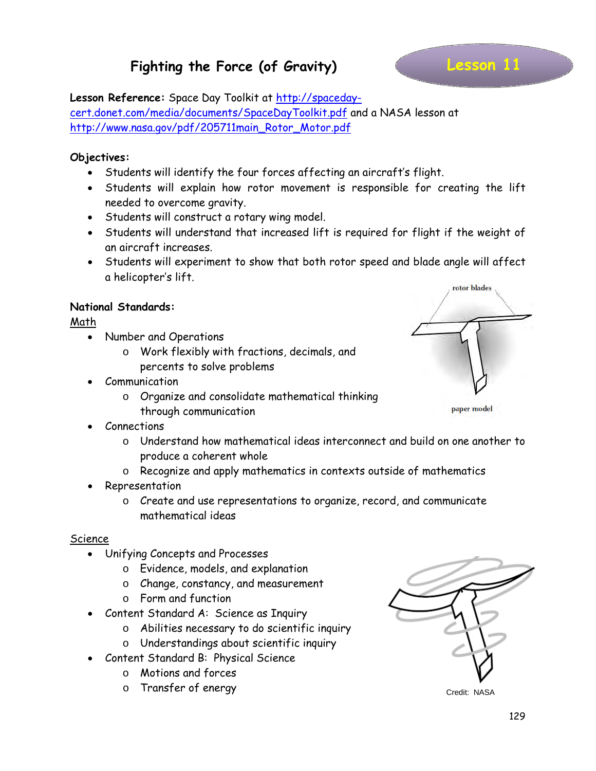### **Fighting the Force (of Gravity)**

#### **Lesson Reference:** Space Day Toolkit at [http://spaceday-](http://spaceday-cert.donet.com/media/documents/SpaceDayToolkit.pdf)

[cert.donet.com/media/documents/SpaceDayToolkit.pdf](http://spaceday-cert.donet.com/media/documents/SpaceDayToolkit.pdf) and a NASA lesson at [http://www.nasa.gov/pdf/205711main\\_Rotor\\_Motor.pdf](http://www.nasa.gov/pdf/205711main_Rotor_Motor.pdf)

#### **Objectives:**

- Students will identify the four forces affecting an aircraft's flight.
- Students will explain how rotor movement is responsible for creating the lift needed to overcome gravity.
- Students will construct a rotary wing model.
- Students will understand that increased lift is required for flight if the weight of an aircraft increases.
- Students will experiment to show that both rotor speed and blade angle will affect a helicopter's lift.

#### **National Standards:**

Math

- Number and Operations
	- o Work flexibly with fractions, decimals, and percents to solve problems
- **Communication** 
	- o Organize and consolidate mathematical thinking through communication
- Connections
	- o Understand how mathematical ideas interconnect and build on one another to produce a coherent whole
	- o Recognize and apply mathematics in contexts outside of mathematics
- Representation
	- o Create and use representations to organize, record, and communicate mathematical ideas

#### Science

- Unifying Concepts and Processes
	- o Evidence, models, and explanation
	- o Change, constancy, and measurement
	- o Form and function
- Content Standard A: Science as Inquiry
	- o Abilities necessary to do scientific inquiry
	- o Understandings about scientific inquiry
- Content Standard B: Physical Science
	- o Motions and forces
	- o Transfer of energy



Credit: NASA



paper model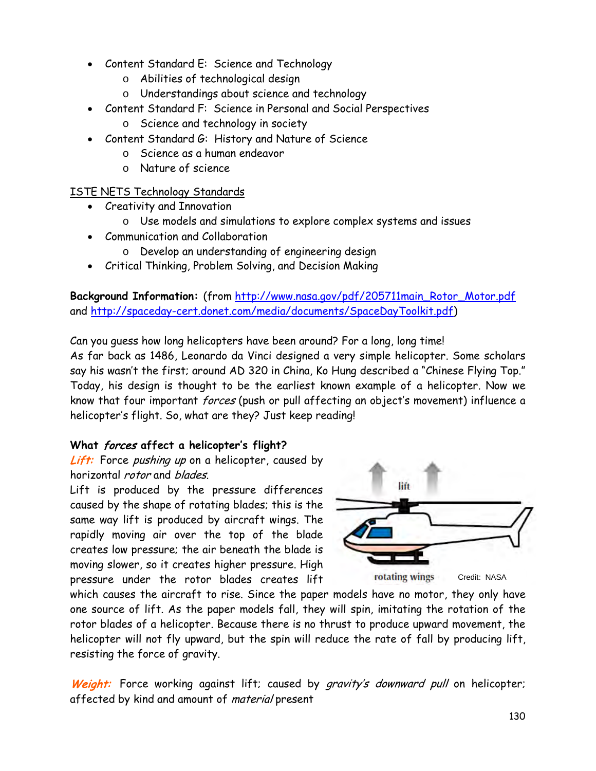- Content Standard E: Science and Technology
	- o Abilities of technological design
	- o Understandings about science and technology
- Content Standard F: Science in Personal and Social Perspectives
	- o Science and technology in society
- Content Standard G: History and Nature of Science
	- o Science as a human endeavor
	- o Nature of science

#### ISTE NETS Technology Standards

- Creativity and Innovation
	- o Use models and simulations to explore complex systems and issues
- Communication and Collaboration
	- o Develop an understanding of engineering design
- Critical Thinking, Problem Solving, and Decision Making

**Background Information:** (from [http://www.nasa.gov/pdf/205711main\\_Rotor\\_Motor.pdf](http://www.nasa.gov/pdf/205711main_Rotor_Motor.pdf)  and [http://spaceday-cert.donet.com/media/documents/SpaceDayToolkit.pdf\)](http://spaceday-cert.donet.com/media/documents/SpaceDayToolkit.pdf)

Can you guess how long helicopters have been around? For a long, long time! As far back as 1486, Leonardo da Vinci designed a very simple helicopter. Some scholars say his wasn't the first; around AD 320 in China, Ko Hung described a "Chinese Flying Top." Today, his design is thought to be the earliest known example of a helicopter. Now we know that four important *forces* (push or pull affecting an object's movement) influence a helicopter's flight. So, what are they? Just keep reading!

#### **What** forces **affect a helicopter's flight?**

#### Lift: Force pushing up on a helicopter, caused by horizontal *rotor* and *blades*.

Lift is produced by the pressure differences caused by the shape of rotating blades; this is the same way lift is produced by aircraft wings. The rapidly moving air over the top of the blade creates low pressure; the air beneath the blade is moving slower, so it creates higher pressure. High pressure under the rotor blades creates lift



which causes the aircraft to rise. Since the paper models have no motor, they only have one source of lift. As the paper models fall, they will spin, imitating the rotation of the rotor blades of a helicopter. Because there is no thrust to produce upward movement, the helicopter will not fly upward, but the spin will reduce the rate of fall by producing lift, resisting the force of gravity.

Weight: Force working against lift; caused by gravity's downward pull on helicopter; affected by kind and amount of *material* present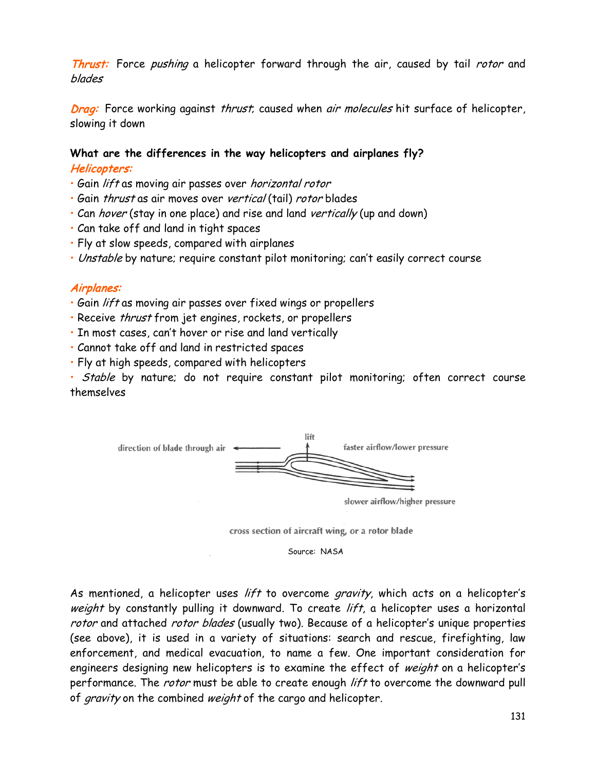Thrust: Force pushing a helicopter forward through the air, caused by tail rotor and blades

Drag: Force working against thrust, caused when air molecules hit surface of helicopter, slowing it down

#### **What are the differences in the way helicopters and airplanes fly?** Helicopters:

- Gain lift as moving air passes over horizontal rotor
- Gain thrust as air moves over vertical (tail) rotor blades
- Can *hover* (stay in one place) and rise and land *vertically* (up and down)
- Can take off and land in tight spaces
- Fly at slow speeds, compared with airplanes
- Unstable by nature; require constant pilot monitoring; can't easily correct course

#### Airplanes:

- Gain lift as moving air passes over fixed wings or propellers
- Receive thrust from jet engines, rockets, or propellers
- In most cases, can't hover or rise and land vertically
- Cannot take off and land in restricted spaces
- Fly at high speeds, compared with helicopters

• Stable by nature; do not require constant pilot monitoring; often correct course themselves



słower airflow/higher pressure

cross section of aircraft wing, or a rotor blade

Source: NASA

As mentioned, a helicopter uses lift to overcome gravity, which acts on a helicopter's weight by constantly pulling it downward. To create lift, a helicopter uses a horizontal rotor and attached rotor blades (usually two). Because of a helicopter's unique properties (see above), it is used in a variety of situations: search and rescue, firefighting, law enforcement, and medical evacuation, to name a few. One important consideration for engineers designing new helicopters is to examine the effect of weight on a helicopter's performance. The *rotor* must be able to create enough *lift* to overcome the downward pull of gravity on the combined weight of the cargo and helicopter.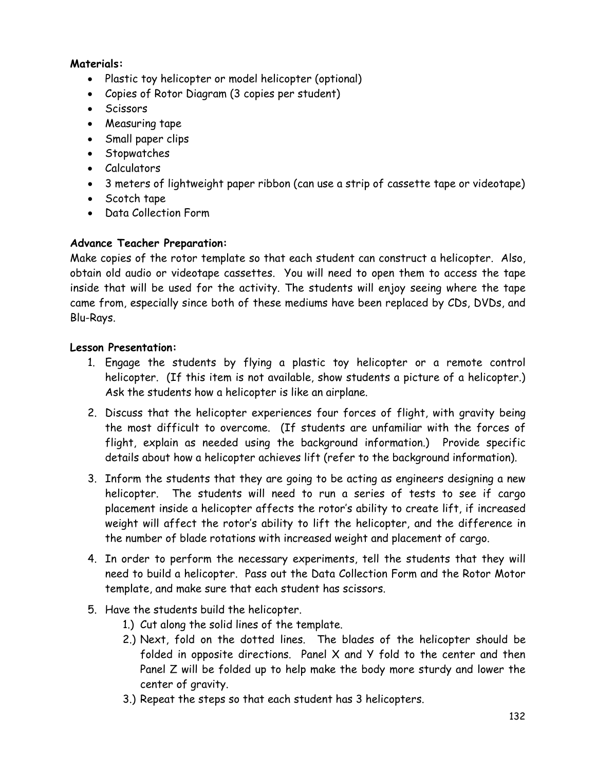#### **Materials:**

- Plastic toy helicopter or model helicopter (optional)
- Copies of Rotor Diagram (3 copies per student)
- Scissors
- Measuring tape
- Small paper clips
- Stopwatches
- Calculators
- 3 meters of lightweight paper ribbon (can use a strip of cassette tape or videotape)
- Scotch tape
- Data Collection Form

#### **Advance Teacher Preparation:**

Make copies of the rotor template so that each student can construct a helicopter. Also, obtain old audio or videotape cassettes. You will need to open them to access the tape inside that will be used for the activity. The students will enjoy seeing where the tape came from, especially since both of these mediums have been replaced by CDs, DVDs, and Blu-Rays.

#### **Lesson Presentation:**

- 1. Engage the students by flying a plastic toy helicopter or a remote control helicopter. (If this item is not available, show students a picture of a helicopter.) Ask the students how a helicopter is like an airplane.
- 2. Discuss that the helicopter experiences four forces of flight, with gravity being the most difficult to overcome. (If students are unfamiliar with the forces of flight, explain as needed using the background information.) Provide specific details about how a helicopter achieves lift (refer to the background information).
- 3. Inform the students that they are going to be acting as engineers designing a new helicopter. The students will need to run a series of tests to see if cargo placement inside a helicopter affects the rotor's ability to create lift, if increased weight will affect the rotor's ability to lift the helicopter, and the difference in the number of blade rotations with increased weight and placement of cargo.
- 4. In order to perform the necessary experiments, tell the students that they will need to build a helicopter. Pass out the Data Collection Form and the Rotor Motor template, and make sure that each student has scissors.
- 5. Have the students build the helicopter.
	- 1.) Cut along the solid lines of the template.
	- 2.) Next, fold on the dotted lines. The blades of the helicopter should be folded in opposite directions. Panel X and Y fold to the center and then Panel Z will be folded up to help make the body more sturdy and lower the center of gravity.
	- 3.) Repeat the steps so that each student has 3 helicopters.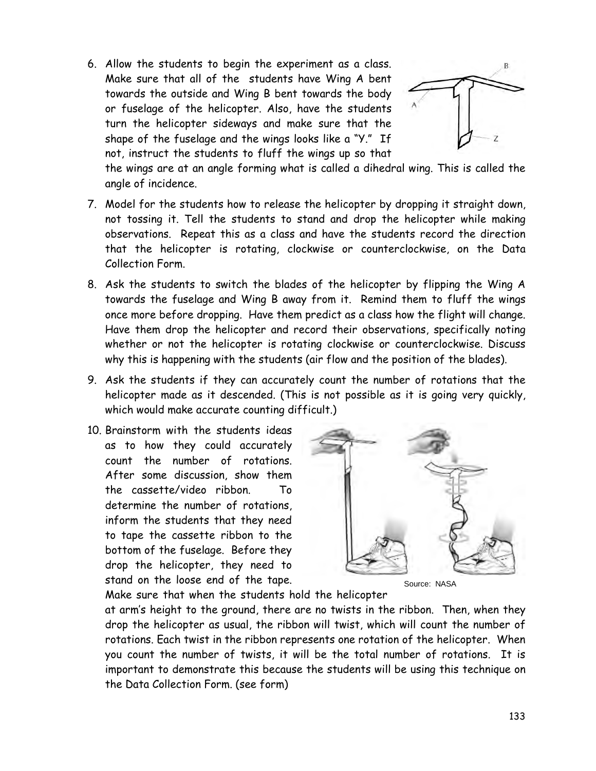6. Allow the students to begin the experiment as a class. Make sure that all of the students have Wing A bent towards the outside and Wing B bent towards the body or fuselage of the helicopter. Also, have the students turn the helicopter sideways and make sure that the shape of the fuselage and the wings looks like a "Y." If not, instruct the students to fluff the wings up so that



the wings are at an angle forming what is called a dihedral wing. This is called the angle of incidence.

- 7. Model for the students how to release the helicopter by dropping it straight down, not tossing it. Tell the students to stand and drop the helicopter while making observations. Repeat this as a class and have the students record the direction that the helicopter is rotating, clockwise or counterclockwise, on the Data Collection Form.
- 8. Ask the students to switch the blades of the helicopter by flipping the Wing A towards the fuselage and Wing B away from it. Remind them to fluff the wings once more before dropping. Have them predict as a class how the flight will change. Have them drop the helicopter and record their observations, specifically noting whether or not the helicopter is rotating clockwise or counterclockwise. Discuss why this is happening with the students (air flow and the position of the blades).
- 9. Ask the students if they can accurately count the number of rotations that the helicopter made as it descended. (This is not possible as it is going very quickly, which would make accurate counting difficult.)
- 10. Brainstorm with the students ideas as to how they could accurately count the number of rotations. After some discussion, show them the cassette/video ribbon. To determine the number of rotations. inform the students that they need to tape the cassette ribbon to the bottom of the fuselage. Before they drop the helicopter, they need to stand on the loose end of the tape.



Source: NASA

Make sure that when the students hold the helicopter

at arm's height to the ground, there are no twists in the ribbon. Then, when they drop the helicopter as usual, the ribbon will twist, which will count the number of rotations. Each twist in the ribbon represents one rotation of the helicopter. When you count the number of twists, it will be the total number of rotations. It is important to demonstrate this because the students will be using this technique on the Data Collection Form. (see form)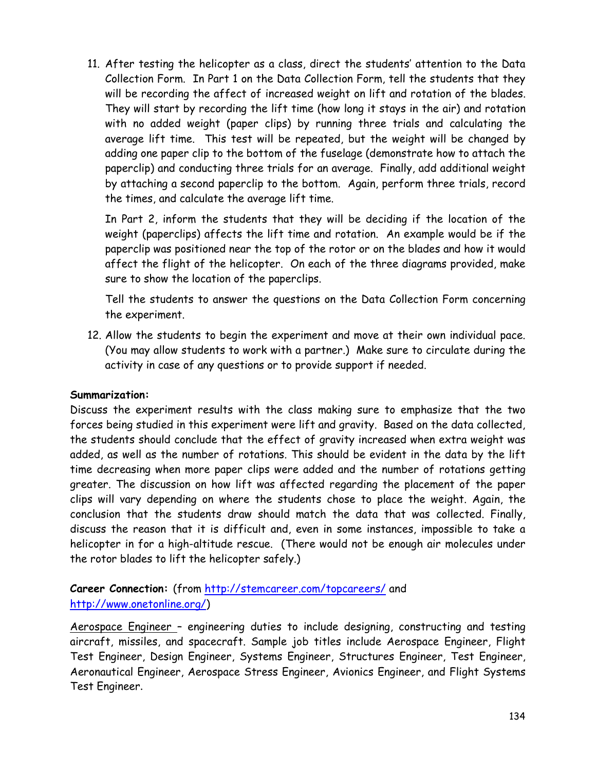11. After testing the helicopter as a class, direct the students' attention to the Data Collection Form. In Part 1 on the Data Collection Form, tell the students that they will be recording the affect of increased weight on lift and rotation of the blades. They will start by recording the lift time (how long it stays in the air) and rotation with no added weight (paper clips) by running three trials and calculating the average lift time. This test will be repeated, but the weight will be changed by adding one paper clip to the bottom of the fuselage (demonstrate how to attach the paperclip) and conducting three trials for an average. Finally, add additional weight by attaching a second paperclip to the bottom. Again, perform three trials, record the times, and calculate the average lift time.

In Part 2, inform the students that they will be deciding if the location of the weight (paperclips) affects the lift time and rotation. An example would be if the paperclip was positioned near the top of the rotor or on the blades and how it would affect the flight of the helicopter. On each of the three diagrams provided, make sure to show the location of the paperclips.

Tell the students to answer the questions on the Data Collection Form concerning the experiment.

12. Allow the students to begin the experiment and move at their own individual pace. (You may allow students to work with a partner.) Make sure to circulate during the activity in case of any questions or to provide support if needed.

#### **Summarization:**

Discuss the experiment results with the class making sure to emphasize that the two forces being studied in this experiment were lift and gravity. Based on the data collected, the students should conclude that the effect of gravity increased when extra weight was added, as well as the number of rotations. This should be evident in the data by the lift time decreasing when more paper clips were added and the number of rotations getting greater. The discussion on how lift was affected regarding the placement of the paper clips will vary depending on where the students chose to place the weight. Again, the conclusion that the students draw should match the data that was collected. Finally, discuss the reason that it is difficult and, even in some instances, impossible to take a helicopter in for a high-altitude rescue. (There would not be enough air molecules under the rotor blades to lift the helicopter safely.)

#### **Career Connection:** (from<http://stemcareer.com/topcareers/> and [http://www.onetonline.org/\)](http://www.onetonline.org/)

Aerospace Engineer – engineering duties to include designing, constructing and testing aircraft, missiles, and spacecraft. Sample job titles include Aerospace Engineer, Flight Test Engineer, Design Engineer, Systems Engineer, Structures Engineer, Test Engineer, Aeronautical Engineer, Aerospace Stress Engineer, Avionics Engineer, and Flight Systems Test Engineer.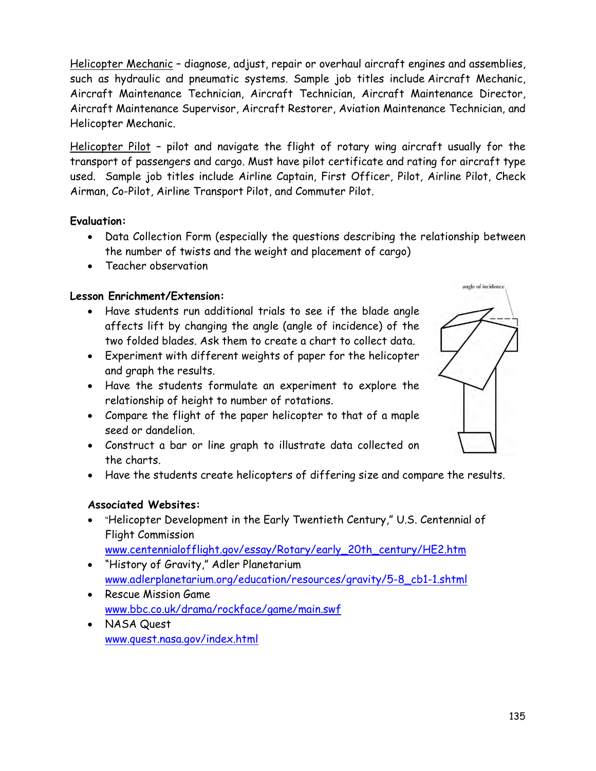Helicopter Mechanic – diagnose, adjust, repair or overhaul aircraft engines and assemblies, such as hydraulic and pneumatic systems. Sample job titles include Aircraft Mechanic, Aircraft Maintenance Technician, Aircraft Technician, Aircraft Maintenance Director, Aircraft Maintenance Supervisor, Aircraft Restorer, Aviation Maintenance Technician, and Helicopter Mechanic.

Helicopter Pilot – pilot and navigate the flight of rotary wing aircraft usually for the transport of passengers and cargo. Must have pilot certificate and rating for aircraft type used. Sample job titles include Airline Captain, First Officer, Pilot, Airline Pilot, Check Airman, Co-Pilot, Airline Transport Pilot, and Commuter Pilot.

#### **Evaluation:**

- Data Collection Form (especially the questions describing the relationship between the number of twists and the weight and placement of cargo)
- Teacher observation

#### **Lesson Enrichment/Extension:**

- Have students run additional trials to see if the blade angle affects lift by changing the angle (angle of incidence) of the two folded blades. Ask them to create a chart to collect data.
- Experiment with different weights of paper for the helicopter and graph the results.
- Have the students formulate an experiment to explore the relationship of height to number of rotations.
- Compare the flight of the paper helicopter to that of a maple seed or dandelion.
- Construct a bar or line graph to illustrate data collected on the charts.
- Have the students create helicopters of differing size and compare the results.

#### **Associated Websites:**

• "Helicopter Development in the Early Twentieth Century," U.S. Centennial of Flight Commission

#### [www.centennialofflight.gov/essay/Rotary/early\\_20th\\_century/HE2.htm](http://www.centennialofflight.gov/essay/Rotary/early_20th_century/HE2.htm)

- "History of Gravity," Adler Planetarium [www.adlerplanetarium.org/education/resources/gravity/5-8\\_cb1-1.shtml](http://www.adlerplanetarium.org/education/resources/gravity/5-8_cb1-1.shtml)
- Rescue Mission Game [www.bbc.co.uk/drama/rockface/game/main.swf](http://www.bbc.co.uk/drama/rockface/game/main.swf)
- NASA Quest [www.quest.nasa.gov/index.html](http://www.quest.nasa.gov/index.html)

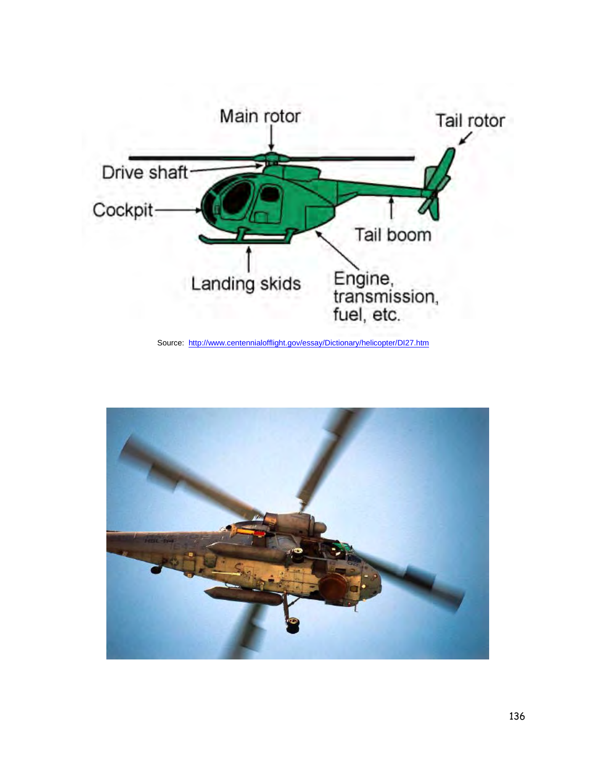

Source: <http://www.centennialofflight.gov/essay/Dictionary/helicopter/DI27.htm>

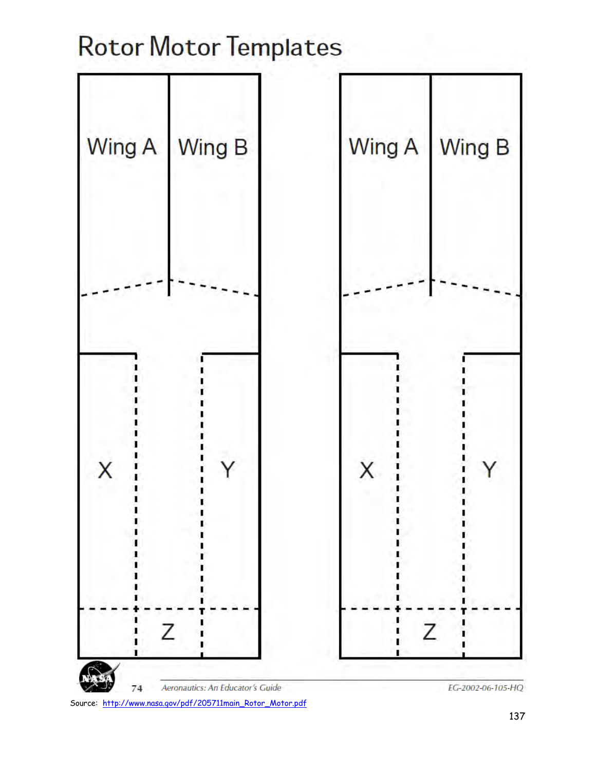# **Rotor Motor Templates**

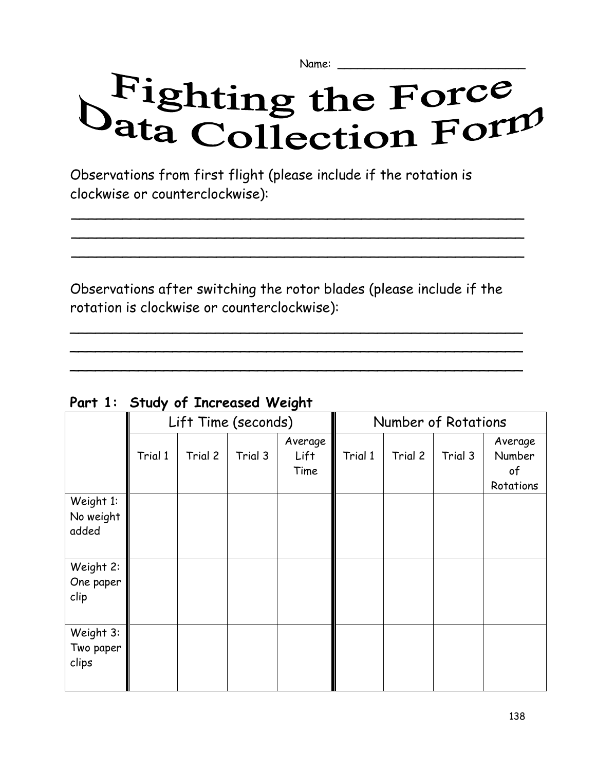Name:

# Fighting the Force<br>Vata Collection Form

Observations from first flight (please include if the rotation is clockwise or counterclockwise):

Observations after switching the rotor blades (please include if the rotation is clockwise or counterclockwise):

\_\_\_\_\_\_\_\_\_\_\_\_\_\_\_\_\_\_\_\_\_\_\_\_\_\_\_\_\_\_\_\_\_\_\_\_\_\_\_\_\_\_\_\_\_\_\_\_\_\_\_\_\_ \_\_\_\_\_\_\_\_\_\_\_\_\_\_\_\_\_\_\_\_\_\_\_\_\_\_\_\_\_\_\_\_\_\_\_\_\_\_\_\_\_\_\_\_\_\_\_\_\_\_\_\_\_ \_\_\_\_\_\_\_\_\_\_\_\_\_\_\_\_\_\_\_\_\_\_\_\_\_\_\_\_\_\_\_\_\_\_\_\_\_\_\_\_\_\_\_\_\_\_\_\_\_\_\_\_\_

 $\overline{a}$  $\overline{a}$  $\overline{a}$ 

| Part 1: Study of Increased Weight |
|-----------------------------------|
|-----------------------------------|

|                                 |         |         | Lift Time (seconds) | ັ                       | Number of Rotations |         |         |                                      |  |
|---------------------------------|---------|---------|---------------------|-------------------------|---------------------|---------|---------|--------------------------------------|--|
|                                 | Trial 1 | Trial 2 | Trial 3             | Average<br>Lift<br>Time | Trial 1             | Trial 2 | Trial 3 | Average<br>Number<br>of<br>Rotations |  |
| Weight 1:<br>No weight<br>added |         |         |                     |                         |                     |         |         |                                      |  |
| Weight 2:<br>One paper<br>clip  |         |         |                     |                         |                     |         |         |                                      |  |
| Weight 3:<br>Two paper<br>clips |         |         |                     |                         |                     |         |         |                                      |  |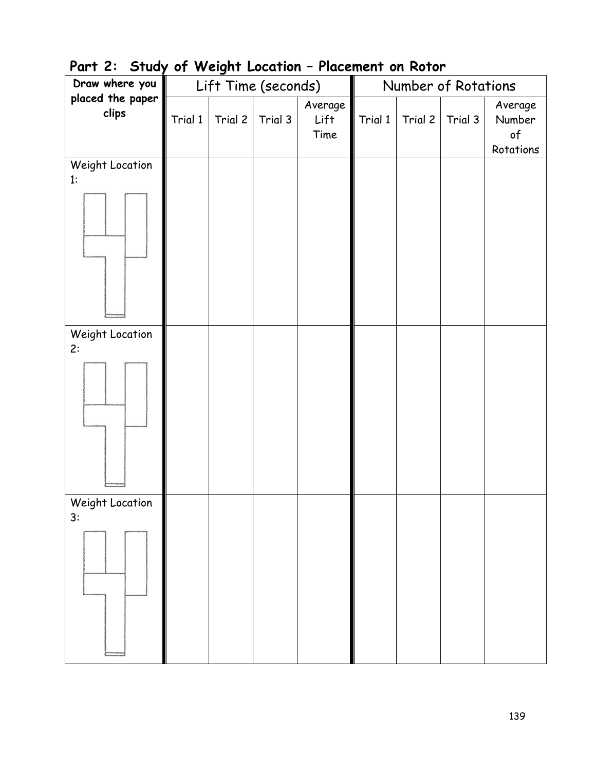| . – <b>,</b><br>Draw where you |         | $\cdot \cdot \cdot \cdot \cdot \cdot \cdot$ | Lift Time (seconds) |                         | Number of Rotations |         |         |                                             |
|--------------------------------|---------|---------------------------------------------|---------------------|-------------------------|---------------------|---------|---------|---------------------------------------------|
| placed the paper<br>clips      | Trial 1 | Trial 2                                     | Trial 3             | Average<br>Lift<br>Time | Trial 1             | Trial 2 | Trial 3 | Average<br>Number<br>$\circ f$<br>Rotations |
| Weight Location<br>1:          |         |                                             |                     |                         |                     |         |         |                                             |
| Weight Location<br>2:          |         |                                             |                     |                         |                     |         |         |                                             |
| Weight Location<br>3:          |         |                                             |                     |                         |                     |         |         |                                             |

## **Part 2: Study of Weight Location – Placement on Rotor**